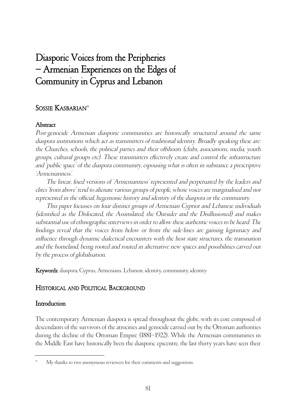# Diasporic Voices from the Peripheries – Armenian Experiences on the Edges of Community in Cyprus and Lebanon

# SOSSIE KASBARIAN\*

# **Abstract**

Post-genocide Armenian diasporic communities are historically structured around the same diaspora institutions which act as transmitters of traditional identity. Broadly speaking these are: the Churches, schools, the political parties and their offshoots (clubs, associations, media, youth groups, cultural groups etc). These transmitters effectively create and control the infrastructure and 'public space' of the diaspora community, espousing what is often in substance a prescriptive 'Armenianness'.

The linear, fixed versions of 'Armenianness' represented and perpetuated by the leaders and elites 'from above' tend to alienate various groups of people, whose voices are marginalised and not represented in the official, hegemonic history and identity of the diaspora or the community.

This paper focusses on four distinct groups of Armenian Cypriot and Lebanese individuals (identified as the Dislocated, the Assimilated, the Outsider and the Disillusioned) and makes substantial use of ethnographic interviews in order to allow these authentic voices to be heard. The findings reveal that the voices from below or from the side-lines are gaining legitimacy and influence through dynamic dialectical encounters with the host state structures, the transnation and the homeland, being rooted and routed in alternative new spaces and possibilities carved out by the process of globalisation.

Keywords: diaspora, Cyprus, Armenians, Lebanon, identity, community, identity

# HISTORICAL AND POLITICAL BACKGROUND

# Introduction

The contemporary Armenian diaspora is spread throughout the globe, with its core composed of descendants of the survivors of the atrocities and genocide carried out by the Ottoman authorities during the decline of the Ottoman Empire (1881–1922). While the Armenian communities in the Middle East have historically been the diasporic epicentre, the last thirty years have seen their

My thanks to two anonymous reviewers for their comments and suggestions.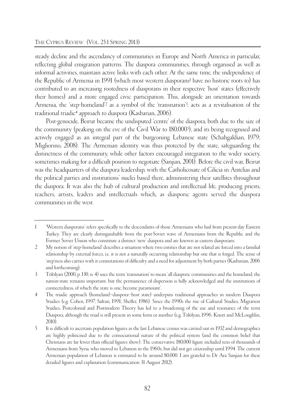steady decline and the ascendancy of communities in Europe and North America in particular, reflecting global emigration patterns. The diaspora communities, through organised as well as informal activities, maintain active links with each other. At the same time, the independence of the Republic of Armenia in 1991 (which most western diasporans<sup>1</sup> have no historic roots to) has contributed to an increasing rootedness of diasporans in their respective 'host' states (effectively their homes) and a more engaged civic participation. This, alongside an orientation towards Armenia, the 'step-homeland'2 as a symbol of the 'transnation'3, acts as a revitalisation of the traditional triadic4 approach to diaspora (Kasbarian, 2006).

Post-genocide, Beirut became the undisputed 'centre' of the diaspora, both due to the size of the community (peaking on the eve of the Civil War to 180,0005), and its being recognised and actively engaged as an integral part of the burgeoning Lebanese state (Schahgaldian, 1979; Migliorino, 2008). The Armenian identity was thus protected by the state, safeguarding the distinctness of the community, while other factors encouraged integration to the wider society, sometimes making for a difficult position to negotiate (Sanjian, 2001). Before the civil war, Beirut was the headquarters of the diaspora leadership, with the Catholicosate of Cilicia in Antelias and the political parties and institutions' nuclei based there, administering their satellites throughout the diaspora. It was also the hub of cultural production and intellectual life, producing priests, teachers, artists, leaders and intellectuals which, as diasporic agents served the diaspora communities in the west.

<sup>1 &#</sup>x27;Western diasporans' refers specifically to the descendants of those Armenians who hail from present-day Eastern Turkey. They are clearly distinguishable from the post-Soviet wave of Armenians from the Republic and the Former Soviet Union who constitute a distinct 'new' diaspora and are known as eastern diasporans.

<sup>2</sup> My notion of 'step-homeland' describes a situation where two entities that are not related are forced into a familial relationship by external forces, i.e. it is not a naturally occurring relationship but one that is forged. The sense of 'step'ness also carries with it connotations of difficulty and a need for adjustment by both parties (Kasbarian, 2006 and forthcoming).

<sup>3</sup> Tölölyan (2000, p. 130, n. 4) uses the term 'transnation' to mean 'all diasporic communities and the homeland; the nation-state remains important, but the permanence of dispersion is fully acknowledged and the institutions of connectedness, of which the state is one, become paramount'.

<sup>4</sup> The triadic approach (homeland–diaspora–host state) underpins traditional approaches in modern Diaspora Studies (e.g. Cohen, 1997; Safran, 1991; Sheffer, 1986). Since the 1990s the rise of Cultural Studies, Migration Studies, Postcolonial and Postmodern Theory has led to a broadening of the use and resonance of the term Diaspora, although the triad is still present in some form or another (e.g. Tölölyan, 1996; Knott and McLoughlin, 2010).

<sup>5</sup> It is difficult to ascertain population figures as the last Lebanese census was carried out in 1932 and demographics are highly politicised due to the consociational nature of the political system (and the common belief that Christians are far fewer than official figures show). The conservative 180,000 figure included tens of thousands of Armenians from Syria, who moved to Lebanon in the 1960s, but did not get citizenship until 1994. The current Armenian population of Lebanon is estimated to be around 80,000. I am grateful to Dr Ara Sanjian for these detailed figures and explanation (communication 31 August 2012).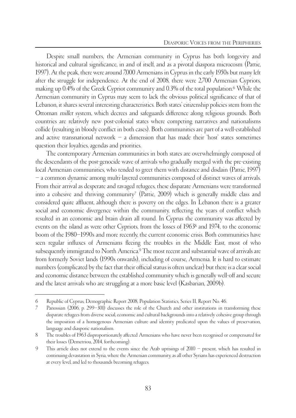Despite small numbers, the Armenian community in Cyprus has both longevity and historical and cultural significance, in and of itself, and as a pivotal diaspora microcosm (Pattie, 1997). At the peak, there were around 7,000 Armenians in Cyprus in the early 1950s but many left after the struggle for independence. At the end of 2008, there were 2,700 Armenian Cypriots, making up 0.4% of the Greek Cypriot community and 0.3% of the total population.6 While the Armenian community in Cyprus may seem to lack the obvious political significance of that of Lebanon, it shares several interesting characteristics. Both states' citizenship policies stem from the Ottoman millet system, which decrees and safeguards difference along religious grounds. Both countries are relatively new post-colonial states where competing narratives and nationalisms collide (resulting in bloody conflict in both cases). Both communities are part of a well-established and active transnational network  $-$  a dimension that has made their 'host' states sometimes question their loyalties, agendas and priorities.

The contemporary Armenian communities in both states are overwhelmingly composed of the descendants of the post-genocide wave of arrivals who gradually merged with the pre-existing local Armenian communities, who tended to greet them with distance and disdain (Pattie, 1997) – a common dynamic among multi-layered communities composed of distinct waves of arrivals. From their arrival as desperate and ravaged refugees, these disparate Armenians were transformed into a cohesive and thriving community<sup>7</sup> (Pattie, 2009) which is generally middle class and considered quite affluent, although there is poverty on the edges. In Lebanon there is a greater social and economic divergence within the community, reflecting the years of conflict which resulted in an economic and brain drain all round. In Cyprus the community was affected by events on the island as were other Cypriots, from the losses of 19638 and 1974, to the economic boom of the 1980–1990s and more recently, the current economic crisis. Both communities have seen regular influxes of Armenians fleeing the troubles in the Middle East, most of who subsequently immigrated to North America.<sup>9</sup> The most recent and substantial wave of arrivals are from formerly Soviet lands (1990s onwards), including of course, Armenia. It is hard to estimate numbers (complicated by the fact that their official status is often unclear) but there is a clear social and economic distance between the established community which is generally well-off and secure and the latest arrivals who are struggling at a more basic level (Kasbarian, 2009b).

<sup>6</sup> Republic of Cyprus, Demographic Report 2008, Population Statistics, Series II, Report No. 46.

<sup>7</sup> Panossian (2006, p. 299–301) discusses the role of the Church and other institutions in transforming these disparate refugees from diverse social, economic and cultural backgrounds into a relatively cohesive group through the imposition of a homogenous Armenian culture and identity predicated upon the values of preservation, language and diasporic nationalism.

<sup>8</sup> The troubles of 1963 disproportionately affected Armenians who have never been recognised or compensated for their losses (Demetriou, 2014, forthcoming).

<sup>9</sup> This article does not extend to the events since the Arab uprisings of 2010 – present, which has resulted in continuing devastation in Syria, where the Armenian community, as all other Syrians has experienced destruction at every level, and led to thousands becoming refugees.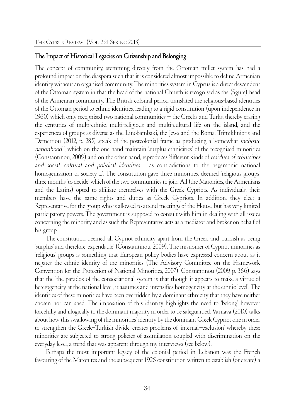#### The Impact of Historical Legacies on Citizenship and Belonging

The concept of community, stemming directly from the Ottoman millet system has had a profound impact on the diaspora such that it is considered almost impossible to define Armenian identity without an organised community. The minorities system in Cyprus is a direct descendent of the Ottoman system in that the head of the national Church is recognised as the (figure) head of the Armenian community. The British colonial period translated the religious-based identities of the Ottoman period to ethnic identities, leading to a rigid constitution (upon independence in 1960) which only recognised two national communities – the Greeks and Turks, thereby erasing the centuries of multi-ethnic, multi-religious and multi-cultural life on the island, and the experiences of groups as diverse as the Linobambaki, the Jews and the Roma. Trimikliniotis and Demetriou (2012, p. 285) speak of the postcolonial frame as producing a 'somewhat inchoate nationhood ', which on the one hand maintain 'surplus ethnicities' of the recognised minorities (Constantinou, 2009) and on the other hand, reproduces 'different kinds of residues of ethnicities and social, cultural and political identities ... as contradictions to the hegemonic national homogenisation of society ...'. The constitution gave three minorities, deemed 'religious groups' three months 'to decide' which of the two communities to join. All (the Maronites, the Armenians and the Latins) opted to affiliate themselves with the Greek Cypriots. As individuals, their members have the same rights and duties as Greek Cypriots. In addition, they elect a Representative for the group who is allowed to attend meetings of the House, but has very limited participatory powers. The government is supposed to consult with him in dealing with all issues concerning the minority and as such the Representative acts as a mediator and broker on behalf of his group.

The constitution deemed all Cypriot ethnicity apart from the Greek and Turkish as being 'surplus' and therefore 'expendable' (Constantinou, 2009). The misnomer of Cypriot minorities as 'religious' groups is something that European policy bodies have expressed concern about as it negates the ethnic identity of the minorities (The Advisory Committee on the Framework Convention for the Protection of National Minorities, 2007). Constantinou (2009, p. 366) says that the 'the paradox of the consociational system is that though it appears to make a virtue of heterogeneity at the national level, it assumes and intensifies homogeneity at the ethnic level'. The identities of these minorities have been overridden by a dominant ethnicity that they have neither chosen nor can shed. The imposition of this identity highlights the need to 'belong' however forcefully and illogically to the dominant majority in order to be safeguarded. Varnava (2010) talks about how this swallowing of the minorities' identity by the dominant Greek Cypriot one in order to strengthen the Greek–Turkish divide, creates problems of 'internal–exclusion' whereby these minorities are subjected to strong policies of assimilation coupled with discrimination on the everyday level, a trend that was apparent through my interviews (see below).

Perhaps the most important legacy of the colonial period in Lebanon was the French favouring of the Maronites and the subsequent 1926 constitution written to establish (or create) a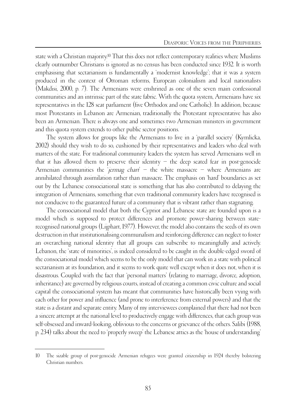state with a Christian majority.<sup>10</sup> That this does not reflect contemporary realities where Muslims clearly outnumber Christians is ignored as no census has been conducted since 1932. It is worth emphasising that sectarianism is fundamentally a 'modernist knowledge'; that it was a system produced in the context of Ottoman reforms, European colonialism and local nationalists (Makdisi, 2000, p. 7). The Armenians were enshrined as one of the seven main confessional communities and an intrinsic part of the state fabric. With the quota system, Armenians have six representatives in the 128 seat parliament (five Orthodox and one Catholic). In addition, because most Protestants in Lebanon are Armenian, traditionally the Protestant representative has also been an Armenian. There is always one and sometimes two Armenian ministers in government and this quota system extends to other public sector positions.

The system allows for groups like the Armenians to live in a 'parallel society' (Kymlicka, 2002) should they wish to do so, cushioned by their representatives and leaders who deal with matters of the state. For traditional community leaders the system has served Armenians well in that it has allowed them to preserve their identity – the deep seated fear in post-genocide Armenian communities the *jermag chart*  $-$  the white massacre  $-$  where Armenians are annihilated through assimilation rather than massacre. The emphasis on 'hard' boundaries as set out by the Lebanese consociational state is something that has also contributed to delaying the integration of Armenians, something that even traditional community leaders have recognised is not conducive to the guaranteed future of a community that is vibrant rather than stagnating.

The consociational model that both the Cypriot and Lebanese state are founded upon is a model which is supposed to protect differences and promote power-sharing between staterecognised national groups (Lijphart, 1977). However, the model also contains the seeds of its own destruction in that institutionalising communalism and reinforcing difference can neglect to foster an overarching national identity that all groups can subscribe to meaningfully and actively. Lebanon, the 'state of minorities', is indeed considered to be caught in the double-edged sword of the consociational model which seems to be the only model that can work in a state with political sectarianism at its foundation, and it seems to work quite well except when it does not, when it is disastrous. Coupled with the fact that 'personal matters' (relating to marriage, divorce, adoption, inheritance) are governed by religious courts, instead of creating a common civic culture and social capital the consociational system has meant that communities have historically been vying with each other for power and influence (and prone to interference from external powers) and that the state is a distant and separate entity. Many of my interviewees complained that there had not been a sincere attempt at the national level to productively engage with differences, that each group was self-obsessed and inward-looking, oblivious to the concerns or grievance of the others. Salibi (1988, p. 234) talks about the need to 'properly sweep' the Lebanese attics as the 'house of understanding'

<sup>10</sup> The sizable group of post-genocide Armenian refugees were granted citizenship in 1924 thereby bolstering Christian numbers.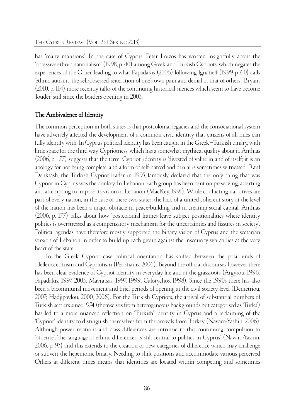has 'many mansions'. In the case of Cyprus, Peter Loizos has written insightfully about the 'obsessive ethnic nationalism' (1998, p. 40) among Greek and Turkish Cypriots, which negates the experiences of the Other, leading to what Papadakis (2006) following Ignatieff (1999, p. 60) calls 'ethnic autism', 'the self-obsessed reiteration of one's own pain and denial of that of others'. Bryant (2010, p. 114) more recently talks of the continuing historical silences which seem to have become 'louder' still since the borders opening in 2003.

# The Ambivalence of Identity

The common perception in both states is that postcolonial legacies and the consociational system have adversely affected the development of a common civic identity that citizens of all hues can fully identify with. In Cyprus political identity has been caught in the Greek–Turkish binary, with little space for the third way, Cypriotness, which has a somewhat mythical quality about it. Anthias (2006, p. 177) suggests that the term 'Cypriot' identity is 'divested of value in and of itself; it is an apology for not being complete, and a form of self-hatred and denial is sometimes witnessed'. Rauf Denktash, the Turkish Cypriot leader in 1995, famously declared that the only thing that was Cypriot in Cyprus was the donkey. In Lebanon, each group has been bent on preserving, asserting and attempting to impose its vision of Lebanon (MacKey, 1991). While conflicting narratives are part of every nation, in the case of these two states, the lack of a united coherent story at the level of the nation has been a major obstacle in peace-building and in creating social capital. Anthias (2006, p. 177) talks about how 'postcolonial frames leave subject positionalities where identity politics is overstressed as a compensatory mechanism for the uncertainties and fissures in society'. Political agendas have therefore mostly supported the binary vision of Cyprus and the sectarian version of Lebanon in order to build up each group against the insecurity which lies at the very heart of the state.

In the Greek Cypriot case political orientation has shifted between the polar ends of Hellenocentrism and Cypriotism (Peristianis, 2006). Beyond the official discourses however there has been clear evidence of Cypriot identity in everyday life and at the grassroots (Argyrou, 1996; Papadakis, 1997, 2003; Mavratsas, 1997, 1999; Calotychos, 1998). Since the 1990s there has also been a bicommunal movement and brief periods of opening at the civil society level (Demetriou, 2007; Hadjipavlou, 2000, 2006). For the Turkish Cypriots, the arrival of substantial numbers of Turkish settlers since 1974 (themselves from heterogeneous backgrounds but categorised as 'Turks') has led to a more nuanced reflection on 'Turkish' identity in Cyprus and a reclaiming of the 'Cypriot' identity to distinguish themselves from the arrivals from Turkey (Navaro-Yashin, 2006). Although power relations and class differences are intrinsic to this continuing compulsion to 'otherise', 'the language of ethnic differences is still central to politics in Cyprus' (Navaro-Yashin, 2006, p. 95) and this extends to the creation of new categories of difference which may challenge or subvert the hegemonic binary. Needing to shift positions and accommodate various perceived Others at different times means that identities are located within competing and sometimes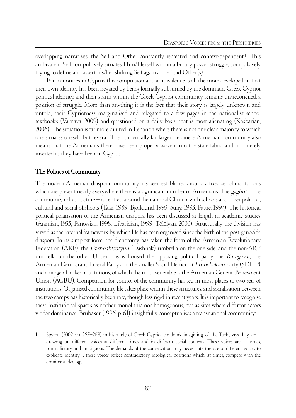overlapping narratives, the Self and Other constantly recreated and context-dependent.11 This ambivalent Self compulsively situates Him/Herself within a binary power struggle, compulsively trying to define and assert his/her shifting Self against the fluid Other(s).

For minorities in Cyprus this compulsion and ambivalence is all the more developed in that their own identity has been negated by being formally subsumed by the dominant Greek Cypriot political identity, and their status within the Greek Cypriot community remains un-reconciled, a position of struggle. More than anything it is the fact that their story is largely unknown and untold, their Cypriotness marginalised and relegated to a few pages in the nationalist school textbooks (Varnava, 2009) and questioned on a daily basis, that is most alienating (Kasbarian, 2006). The situation is far more diluted in Lebanon where there is not one clear majority to which one situates oneself, but several. The numerically far larger Lebanese Armenian community also means that the Armenians there have been properly woven into the state fabric and not merely inserted as they have been in Cyprus.

# The Politics of Community

The modern Armenian diaspora community has been established around a fixed set of institutions which are present nearly everywhere there is a significant number of Armenians. The  $gaghut$  – the community infrastructure – is centred around the national Church, with schools and other political, cultural and social offshoots (Talai, 1989; Bjorklund, 1993; Suny, 1993; Pattie, 1997). The historical political polarisation of the Armenian diaspora has been discussed at length in academic studies (Atamian, 1955; Panossian, 1998; Libaridian, 1999; Tölölyan, 2000). Structurally, the division has served as the internal framework by which life has been organised since the birth of the post-genocide diaspora. In its simplest form, the dichotomy has taken the form of the Armenian Revolutionary Federation (ARF), the *Dashnaktsutyun* (Dashnak) umbrella on the one side, and the non-ARF umbrella on the other. Under this is housed the opposing political party, the Ramgavar, the Armenian Democratic Liberal Party and the smaller Social Democrat Hunchakian Party (SDHP) and a range of linked institutions, of which the most venerable is the Armenian General Benevolent Union (AGBU). Competition for control of the community has led in most places to two sets of institutions. Organised community life takes place within these structures, and socialisation between the two camps has historically been rare, though less rigid in recent years. It is important to recognise these institutional spaces as neither monolithic nor homogenous, but as sites where different actors vie for dominance. Brubaker (1996, p. 61) insightfully conceptualises a transnational community:

<sup>11</sup> Spyrou (2002, pp. 267–268) in his study of Greek Cypriot children's 'imagining' of 'the Turk', says they are '... drawing on different voices at different times and in different social contexts. These voices are, at times, contradictory and ambiguous. The demands of the conversation may necessitate the use of different voices to explicate identity ... these voices reflect contradictory ideological positions which, at times, compete with the dominant ideology.'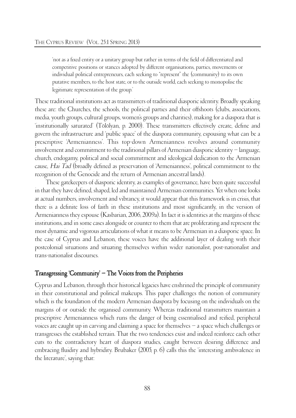'not as a fixed entity or a unitary group but rather in terms of the field of differentiated and competitive positions or stances adopted by different organisations, parties, movements or individual political entrepreneurs, each seeking to "represent" the (community) to its own putative members, to the host state, or to the outside world, each seeking to monopolise the legitimate representation of the group.'

These traditional institutions act as transmitters of traditional diasporic identity. Broadly speaking these are: the Churches, the schools, the political parties and their offshoots (clubs, associations, media, youth groups, cultural groups, women's groups and charities), making for a diaspora that is 'institutionally saturated' (Tölölyan, p. 2000). These transmitters effectively create, define and govern the infrastructure and 'public space' of the diaspora community, espousing what can be a prescriptive 'Armenianness'. This top-down Armenianness revolves around community involvement and commitment to the traditional pillars of Armenian diasporic identity – language, church, endogamy, political and social commitment and ideological dedication to the Armenian cause, Hai Tad (broadly defined as preservation of 'Armenianness', political commitment to the recognition of the Genocide and the return of Armenian ancestral lands).

These gatekeepers of diasporic identity, as examples of governance, have been quite successful in that they have defined, shaped, led and maintained Armenian communities. Yet when one looks at actual numbers, involvement and vibrancy, it would appear that this framework is in crisis, that there is a definite loss of faith in these institutions and most significantly, in the version of Armenianness they espouse (Kasbarian, 2006, 2009a). In fact it is identities at the margins of these institutions, and in some cases alongside or counter to them that are proliferating and represent the most dynamic and vigorous articulations of what it means to be Armenian in a diasporic space. In the case of Cyprus and Lebanon, these voices have the additional layer of dealing with their postcolonial situations and situating themselves within wider nationalist, post-nationalist and trans-nationalist discourses.

#### Transgressing 'Community' – The Voices from the Peripheries

Cyprus and Lebanon, through their historical legacies have enshrined the principle of community in their constitutional and political makeups. This paper challenges the notion of community which is the foundation of the modern Armenian diaspora by focusing on the individuals on the margins of or outside the organised community. Whereas traditional transmitters maintain a prescriptive Armenianness which runs the danger of being essentialised and reified, peripheral voices are caught up in carving and claiming a space for themselves – a space which challenges or transgresses the established terrain. That the two tendencies exist and indeed reinforce each other cuts to the contradictory heart of diaspora studies, caught between desiring difference and embracing fluidity and hybridity. Brubaker (2005, p. 6) calls this the 'interesting ambivalence in the literature', saying that: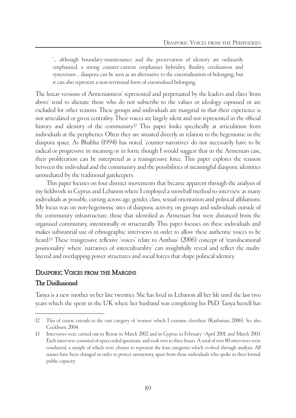'... although boundary-maintenance and the preservation of identity are ordinarily emphasised, a strong counter-current emphasises hybridity, fluidity, creolization and syncretism ... diaspora can be seen as an alternative to the essentialisation of belonging; but it can also represent a non-territorial form of essentialised belonging.'

The linear versions of 'Armenianness' represented and perpetuated by the leaders and elites 'from above' tend to alienate those who do not subscribe to the values or ideology espoused or are excluded for other reasons. These groups and individuals are marginal in that their experience is not articulated or given centrality. Their voices are largely silent and not represented in the official history and identity of the community.<sup>12</sup> This paper looks specifically at articulation from individuals at the peripheries. Often they are situated directly in relation to the hegemonic in the diaspora space. As Bhabha (1994) has noted, 'counter-narratives' do not necessarily have to be radical or progressive in meaning or in form, though I would suggest that in the Armenian case, their proliferation can be interpreted as a transgressive force. This paper explores the tension between the individual and the community and the possibilities of meaningful diasporic identities unmediated by the traditional gatekeepers.

This paper focuses on four distinct movements that became apparent through the analysis of my fieldwork in Cyprus and Lebanon where I employed a snowball method to interview as many individuals as possible, cutting across age, gender, class, sexual orientation and political affiliations. My focus was on non-hegemonic sites of diasporic activity, on groups and individuals outside of the community infrastructure, those that identified as Armenian but were distanced from the organised community, intentionally or structurally. This paper focuses on these individuals and makes substantial use of ethnographic interviews in order to allow these authentic voices to be heard.<sup>13</sup> These trangressive reflexive 'voices' relate to Anthias' (2006) concept of 'translocational positionality' where 'narratives of interculturality' can insightfully reveal and reflect the multilayered and overlapping power structures and social forces that shape political identity.

#### DIASPORIC VOICES FROM THE MARGINS

#### The Disillusioned

Tanya is a new mother in her late twenties. She has lived in Lebanon all her life until the last two years which she spent in the UK where her husband was completing his PhD. Tanya herself has

<sup>12</sup> This of course extends to the vast category of 'women' which I examine elsewhere (Kasbarian, 2006). See also Cockburn, 2004.

<sup>13</sup> Interviews were carried out in Beirut in March 2002 and in Cyprus in February–April 2001, and March 2003. Each interview consisted of open-ended questions, and took two to three hours. A total of over 80 interviews were conducted, a sample of which were chosen to represent the four categories which evolved through analysis. All names have been changed in order to protect anonymity, apart from those individuals who spoke in their formal, public capacity.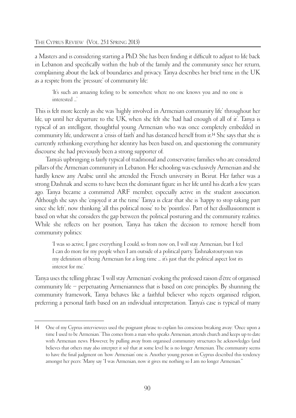a Masters and is considering starting a PhD. She has been finding it difficult to adjust to life back in Lebanon and specifically within the hub of the family and the community since her return, complaining about the lack of boundaries and privacy. Tanya describes her brief time in the UK as a respite from the 'pressure' of community life:

'It's such an amazing feeling to be somewhere where no one knows you and no one is interested ...'

This is felt more keenly as she was 'highly involved in Armenian community life' throughout her life, up until her departure to the UK, when she felt she 'had had enough of all of it'. Tanya is typical of an intelligent, thoughtful young Armenian who was once completely embedded in community life, underwent a 'crisis of faith' and has distanced herself from it.14 She says that she is currently rethinking everything her identity has been based on, and questioning the community discourse she had previously been a strong supporter of.

Tanya's upbringing is fairly typical of traditional and conservative families who are considered pillars of the Armenian community in Lebanon. Her schooling was exclusively Armenian and she hardly knew any Arabic until she attended the French university in Beirut. Her father was a strong Dashnak and seems to have been the dominant figure in her life until his death a few years ago. Tanya became a committed ARF member, especially active in the student association. Although she says she 'enjoyed it at the time' Tanya is clear that she is 'happy to stop taking part since she left', now thinking 'all this political noise' to be 'pointless'. Part of her disillusionment is based on what she considers the gap between the political posturing and the community realities. While she reflects on her position, Tanya has taken the decision to remove herself from community politics:

'I was so active, I gave everything I could, so from now on, I will stay Armenian, but I feel I can do more for my people when I am outside of a political party. Tashnakstoutyoun was my definition of being Armenian for a long time ... it's just that the political aspect lost its interest for me.'

Tanya uses the telling phrase 'I will stay Armenian' evoking the professed raison d'être of organised community life – perpetuating Armenianness that is based on core principles. By shunning the community framework, Tanya behaves like a faithful believer who rejects organised religion, preferring a personal faith based on an individual interpretation. Tanya's case is typical of many

<sup>14</sup> One of my Cyprus interviewees used the poignant phrase to explain his conscious breaking away: 'Once upon a time I used to be Armenian.' This comes from a man who speaks Armenian, attends church and keeps up to date with Armenian news. However, by pulling away from organised community structures he acknowledges (and believes that others may also interpret it so) that at some level he is no longer Armenian. The community seems to have the final judgment on 'how Armenian' one is. Another young person in Cyprus described this tendency amongst her peers: 'Many say "I was Armenian, now it gives me nothing so I am no longer Armenian."'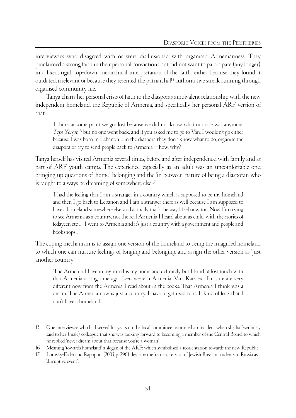interviewees who disagreed with or were disillusioned with organised Armenianness. They proclaimed a strong faith in their personal convictions but did not want to participate (any longer) in a fixed, rigid, top-down, hierarchical interpretation of the 'faith', either because they found it outdated, irrelevant or because they resented the patriarchal15 authoritative streak running through organised community life.

Tanya charts her personal crisis of faith to the diaspora's ambivalent relationship with the new independent homeland, the Republic of Armenia, and specifically her personal ARF version of that.

'I think at some point we got lost because we did not know what our role was anymore. Tepi Yergir, <sup>16</sup> but no one went back, and if you asked me to go to Van, I wouldn't go either because I was born in Lebanon ... in the diaspora they don't know what to do, organise the diaspora or try to send people back to Armenia – how, why?'

Tanya herself has visited Armenia several times, before and after independence, with family and as part of ARF youth camps. The experience, especially as an adult was an uncomfortable one, bringing up questions of 'home', belonging and the 'in-between' nature of being a diasporan who is taught to always be dreaming of somewhere else:<sup>17</sup>

'I had the feeling that I am a stranger in a country which is supposed to be my homeland and then I go back to Lebanon and I am a stranger there as well because I am supposed to have a homeland somewhere else; and actually that's the way I feel now too. Now I'm trying to see Armenia as a country, not the real Armenia I heard about as child, with the stories of fedayeen etc ... . I went to Armenia and it's just a country with a government and people and bookshops ...'

The coping mechanism is to assign one version of the homeland to being the imagined homeland to which one can nurture feelings of longing and belonging, and assign the other version as 'just another country':

'The Armenia I have in my mind is my homeland definitely but I kind of lost touch with that Armenia a long time ago. Even western Armenia, Van, Kars etc. I'm sure are very different now from the Armenia I read about in the books. That Armenia I think was a dream. The Armenia now is just a country. I have to get used to it. It kind of feels that I don't have a homeland.'

<sup>15</sup> One interviewee who had served for years on the local committee recounted an incident when she half-seriously said to her (male) colleague that she was looking forward to becoming a member of the Central Board, to which he replied 'never dream about that because you're a woman'.

<sup>16</sup> Meaning 'towards homeland' a slogan of the ARF; which symbolised a reorientation towards the new Republic.

<sup>17</sup> Lomsky-Feder and Rapoport (2005, p. 296) describe the 'return', i.e. visit of Jewish Russian students to Russia as a 'disruptive event'.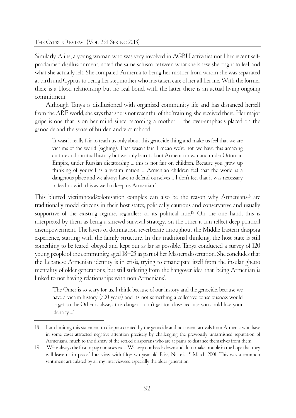#### THE CYPRUS REVIEW (VOL. 25:1 SPRING 2013)

Similarly, Aline, a young woman who was very involved in AGBU activities until her recent selfproclaimed disillusionment, noted the same schism between what she knew she ought to feel, and what she actually felt. She compared Armenia to being her mother from whom she was separated at birth and Cyprus to being her stepmother who has taken care of her all her life. With the former there is a blood relationship but no real bond, with the latter there is an actual living ongoing commitment.

Although Tanya is disillusioned with organised community life and has distanced herself from the ARF world, she says that she is not resentful of the 'training' she received there. Her major gripe is one that is on her mind since becoming a mother – the over-emphasis placed on the genocide and the sense of burden and victimhood:

'It wasn't really fair to teach us only about this genocide thing and make us feel that we are victims of the world (sighing). That wasn't fair. I mean we're not, we have this amazing culture and spiritual history but we only learnt about Armenia in war and under Ottoman Empire, under Russian dictatorship ... this is not fair on children. Because you grow up thinking of yourself as a victim nation ... Armenian children feel that the world is a dangerous place and we always have to defend ourselves ... I don't feel that it was necessary to feed us with this as well to keep us Armenian.'

This blurred victimhood/colonisation complex can also be the reason why Armenians<sup>18</sup> are traditionally model citizens in their host states, politically cautious and conservative and usually supportive of the existing regime, regardless of its political hue.<sup>19</sup> On the one hand, this is interpreted by them as being a shrewd survival strategy; on the other it can reflect deep political disempowerment. The layers of domination reverberate throughout the Middle Eastern diaspora experience, starting with the family structure. In this traditional thinking, the host state is still something to be feared, obeyed and kept out as far as possible. Tanya conducted a survey of 120 young people of the community, aged 18–25 as part of her Masters dissertation. She concludes that the Lebanese Armenian identity is in crisis, trying to emancipate itself from the insular ghetto mentality of older generations, but still suffering from the hangover idea that 'being Armenian is linked to not having relationships with non-Armenians'.

'The Other is so scary for us, I think because of our history and the genocide, because we have a victim history (700 years) and it's not something a collective consciousness would forget, so the Other is always this danger ... don't get too close because you could lose your identity ...'

<sup>18</sup> I am limiting this statement to diaspora created by the genocide and not recent arrivals from Armenia who have in some cases attracted negative attention precisely by challenging the previously untarnished reputation of Armenians, much to the dismay of the settled diasporans who are at pains to distance themselves from them.

<sup>19 &#</sup>x27;We're always the first to pay our taxes etc ... We keep our heads down and don't make trouble in the hope that they will leave us in peace.' Interview with fifty-two year old Elise, Nicosia, 5 March 2001. This was a common sentiment articulated by all my interviewees, especially the older generation.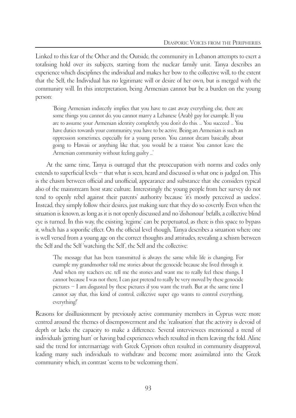Linked to this fear of the Other and the Outside, the community in Lebanon attempts to exert a totalising hold over its subjects, starting from the nuclear family unit. Tanya describes an experience which disciplines the individual and makes her bow to the collective will, to the extent that the Self, the Individual has no legitimate will or desire of her own, but is merged with the community will. In this interpretation, being Armenian cannot but be a burden on the young person:

'Being Armenian indirectly implies that you have to cast away everything else, there are some things you cannot do, you cannot marry a Lebanese (Arab) guy for example. If you are to assume your Armenian identity completely, you don't do this. ... You succeed ... You have duties towards your community, you have to be active. Being an Armenian is such an oppression sometimes, especially for a young person. You cannot dream basically, about going to Hawaii or anything like that, you would be a traitor. You cannot leave the Armenian community without feeling guilty ...'

At the same time, Tanya is outraged that the preoccupation with norms and codes only extends to superficial levels – that what is seen, heard and discussed is what one is judged on. This is the chasm between official and unofficial, appearance and substance that she considers typical also of the mainstream host state culture. Interestingly the young people from her survey do not tend to openly rebel against their parents' authority because 'it's mostly perceived as useless'. Instead, they simply follow their desires, just making sure that they do so covertly. Even when the situation is known, as long as it is not openly discussed and no 'dishonour' befalls, a collective blind eye is turned. In this way, the existing 'regime' can be perpetuated, as there is this space to bypass it, which has a soporific effect. On the official level though, Tanya describes a situation where one is well versed from a young age on the correct thoughts and attitudes, revealing a schism between the Self and the Self 'watching the Self', the Self and the collective:

'The message that has been transmitted is always the same while life is changing. For example my grandmother told me stories about the genocide because she lived through it. And when my teachers etc. tell me the stories and want me to really feel these things, I cannot because I was not there, I can just pretend to really be very moved by these genocide pictures – I am disgusted by these pictures if you want the truth. But at the same time I cannot say that, this kind of control, collective super ego wants to control everything, everything!'

Reasons for disillusionment by previously active community members in Cyprus were more centred around the themes of disempowerment and the 'realisation' that the activity is devoid of depth or lacks the capacity to make a difference. Several interviewees mentioned a trend of individuals 'getting hurt' or having bad experiences which resulted in them leaving the fold. Aline said the trend for intermarriage with Greek Cypriots often resulted in community disapproval, leading many such individuals to withdraw and become more assimilated into the Greek community which, in contrast 'seems to be welcoming them'.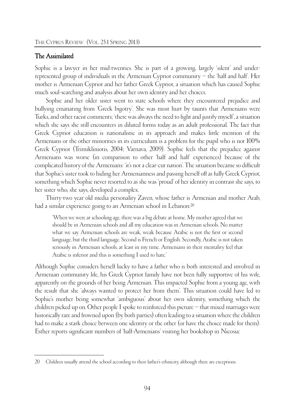#### The Assimilated

Sophie is a lawyer in her mid-twenties. She is part of a growing, largely 'silent' and underrepresented group of individuals in the Armenian Cypriot community – the 'half and half'. Her mother is Armenian Cypriot and her father Greek Cypriot, a situation which has caused Sophie much soul-searching and analysis about her own identity and her choices.

Sophie and her older sister went to state schools where they encountered prejudice and bullying emanating from 'Greek bigotry'. She was most hurt by taunts that Armenians were Turks, and other racist comments; 'there was always the need to fight and justify myself', a situation which she says she still encounters in diluted forms today as an adult professional. The fact that Greek Cypriot education is nationalistic in its approach and makes little mention of the Armenians or the other minorities in its curriculum is a problem for the pupil who is not 100% Greek Cypriot (Trimikliniotis, 2004; Varnava, 2009). Sophie feels that the prejudice against Armenians was worse (in comparison to other 'half and half' experiences) because of the complicated history of the Armenians: 'it's not a clear-cut nation'. The situation became so difficult that Sophie's sister took to hiding her Armenianness and passing herself off as fully Greek Cypriot, something which Sophie never resorted to as she was 'proud' of her identity in contrast she says, to her sister who, she says, developed a complex.

Thirty-two year old media personality Zaven, whose father is Armenian and mother Arab, had a similar experience going to an Armenian school in Lebanon:20

'When we were at schooling age, there was a big debate at home. My mother agreed that we should be in Armenian schools and all my education was in Armenian schools. No matter what we say Armenian schools are weak, weak because Arabic is not the first or second language, but the third language. Second is French or English. Secondly, Arabic is not taken seriously in Armenian schools, at least in my time. Armenians in their mentality feel that Arabic is inferior and this is something I used to hate.'

Although Sophie considers herself lucky to have a father who is both interested and involved in Armenian community life, his Greek Cypriot family have not been fully supportive of his wife, apparently on the grounds of her being Armenian. This impacted Sophie from a young age, with the result that she 'always wanted to protect her from them'. This situation could have led to Sophie's mother being somewhat 'ambiguous' about her own identity, something which the children picked up on. Other people I spoke to reinforced this picture – that mixed marriages were historically rare and frowned upon (by both parties) often leading to a situation where the children had to make a stark choice between one identity or the other (or have the choice made for them). Esther reports significant numbers of 'half-Armenians' visiting her bookshop in Nicosia:

<sup>20</sup> Children usually attend the school according to their father's ethnicity, although there are exceptions.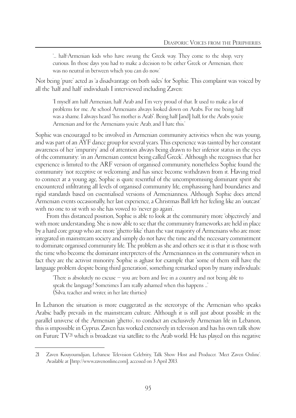'... half-Armenian kids who have swung the Greek way. They come to the shop, very curious. In those days you had to make a decision to be either Greek or Armenian, there was no neutral in between which you can do now.'

Not being 'pure' acted as 'a disadvantage on both sides' for Sophie. This complaint was voiced by all the 'half and half' individuals I interviewed including Zaven:

'I myself am half Armenian, half Arab and I'm very proud of that. It used to make a lot of problems for me. At school Armenians always looked down on Arabs. For me being half was a shame. I always heard "his mother is Arab". Being half [and] half, for the Arabs you're Armenian and for the Armenians you're Arab, and I hate this.'

Sophie was encouraged to be involved in Armenian community activities when she was young, and was part of an AYF dance group for several years. This experience was tainted by her constant awareness of her 'impurity' and of attention always being drawn to her inferior status in the eyes of the community: 'in an Armenian context being called Greek'. Although she recognises that her experience is limited to the ARF version of organised community, nonetheless Sophie found the community 'not receptive or welcoming' and has since become withdrawn from it. Having tried to connect at a young age, Sophie is quite resentful of the uncompromising dominant spirit she encountered infiltrating all levels of organised community life, emphasising hard boundaries and rigid standards based on essentialised versions of Armenianness. Although Sophie does attend Armenian events occasionally, her last experience, a Christmas Ball left her feeling like an 'outcast' with no one to sit with so she has vowed to 'never go again'.

From this distanced position, Sophie is able to look at the community more 'objectively' and with more understanding. She is now able to see that the community frameworks are held in place by a hard core group who are more 'ghetto-like' than the vast majority of Armenians who are more integrated in mainstream society and simply do not have the time and the necessary commitment to dominate organised community life. The problem as she and others see it is that it is those with the time who become the dominant interpreters of the Armenianness in the community when in fact they are the activist minority. Sophie is aghast for example that 'some of them still have the language problem despite being third generation', something remarked upon by many individuals:

'There is absolutely no excuse – you are born and live in a country and not being able to speak the language! Sometimes I am really ashamed when this happens ...' (Silva, teacher and writer, in her late thirties)

In Lebanon the situation is more exaggerated as the stereotype of the Armenian who speaks Arabic badly prevails in the mainstream culture. Although it is still just about possible in the parallel universe of the Armenian 'ghetto', to conduct an exclusively Armenian life in Lebanon, this is impossible in Cyprus. Zaven has worked extensively in television and has his own talk show on Future  $TV<sup>21</sup>$  which is broadcast via satellite to the Arab world. He has played on this negative

<sup>21</sup> Zaven Kouyoumdjian, Lebanese Television Celebrity, Talk Show Host and Producer. 'Meet Zaven Online'. Available at [http://www.zavenonline.com], accessed on 3 April 2013.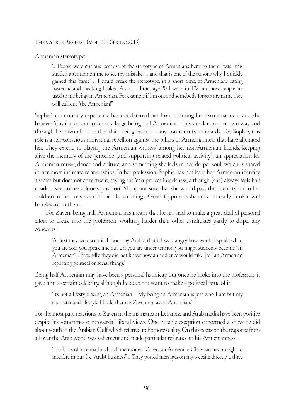Armenian stereotype:

'... People were curious, because of the stereotype of Armenians here, so there [was] this sudden attention on me to see my mistakes ... and that is one of the reasons why I quickly gained this "fame" ... I could break the stereotype, in a short time, of Armenians eating basterma and speaking broken Arabic ... From age 20 I work in TV and now people are used to me being an Armenian. For example if I'm out and somebody forgets my name they will call out "the Armenian!"'

Sophie's community experience has not deterred her from claiming her Armenianness, and she believes 'it is important to acknowledge being half Armenian'. This she does in her own way and through her own efforts rather than being based on any community standards. For Sophie, this role is a self-conscious individual rebellion against the pillars of Armenianness that have alienated her. They extend to playing the 'Armenian witness' among her non-Armenian friends, keeping alive the memory of the genocide (and supporting related political activity), an appreciation for Armenian music, dance and culture; and something she feels in her 'deeper soul' which is shared in her most intimate relationships. In her profession, Sophie has not kept her Armenian identity a secret but does not advertise it, saying she 'can project Greekness, although (she) always feels half inside ... sometimes a lonely position'. She is not sure that she would pass this identity on to her children in the likely event of their father being a Greek Cypriot as she does not really think it will be relevant to them.

For Zaven, being half Armenian has meant that he has had to make a great deal of personal effort to break into the profession, working harder than other candidates partly to dispel any concerns:

'At first they were sceptical about my Arabic, that if I were angry how would I speak, when you are cool you speak fine but ... if you are under tension you might suddenly become "an Armenian" ... Secondly, they did not know how an audience would take [to] an Armenian reporting political or social things.'

Being half Armenian may have been a personal handicap but once he broke into the profession, it gave him a certain celebrity, although he does not want to make a political issue of it:

'It's not a lifestyle being an Armenian ... My being an Armenian is just who I am but my character and lifestyle I build them as Zaven not as an Armenian.'

For the most part, reactions to Zaven in the mainstream Lebanese and Arab media have been positive despite his sometimes controversial, liberal views. One notable exception concerned a show he did about youth in the Arabian Gulf which referred to homosexuality. On this occasion the response from all over the Arab world was vehement and made particular reference to his Armenianness:

'I had lots of hate mail and it all mentioned "Zaven, an Armenian Christian has no right to interfere in our (i.e. Arab) business" ... They posted messages on my website directly ... three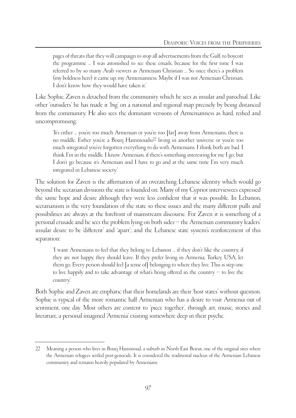pages of threats that they will campaign to stop all advertisements from the Gulf, to boycott the programme ... I was astonished to see these emails, because for the first time I was referred to by so many Arab viewers as Armenian Christian ... So once there's a problem (my boldness here) it came up, my Armenianness. Maybe if I was not Armenian Christian, I don't know how they would have taken it.'

Like Sophie, Zaven is detached from the community which he sees as insular and parochial. Like other 'outsiders' he has made it 'big' on a national and regional map precisely by being distanced from the community. He also sees the dominant versions of Armenianness as hard, reified and uncompromising:

'It's either ... you're too much Armenian or you're too [far] away from Armenians, there is no middle. Either you're a Bourj Hammoudsi22 living in another universe or you're too much integrated you've forgotten everything to do with Armenians. I think both are bad. I think I'm in the middle. I know Armenian, if there's something interesting for me I go; but I don't go because it's Armenian and I have to go and at the same time I'm very much integrated in Lebanese society.'

The solution for Zaven is the affirmation of an overarching Lebanese identity which would go beyond the sectarian divisions the state is founded on. Many of my Cypriot interviewees expressed the same hope and desire although they were less confident that it was possible. In Lebanon, sectarianism is the very foundation of the state so these issues and the many different pulls and possibilities are always at the forefront of mainstream discourse. For Zaven it is something of a personal crusade and he sees the problem lying on both sides – the Armenian community leaders' insular desire to be 'different' and 'apart'; and the Lebanese state system's reinforcement of this separation:

'I want Armenians to feel that they belong to Lebanon ... if they don't like the country, if they are not happy, they should leave. If they prefer living in Armenia, Turkey, USA, let them go. Every person should feel [a sense of] belonging to where they live. This is step one to live happily and to take advantage of what's being offered in the country – to live the country.'

Both Sophie and Zaven are emphatic that their homelands are their 'host states' without question. Sophie is typical of the more romantic half Armenian who has a desire to visit Armenia out of sentiment, one day. Most others are content to 'piece together', through art, music, stories and literature, a personal imagined 'Armenia' existing somewhere deep in their psyche.

<sup>22</sup> Meaning a person who lives in Bourj Hammoud, a suburb in North-East Beirut, one of the original sites where the Armenian refugees settled post-genocide. It is considered the traditional nucleus of the Armenian Lebanese community and remains heavily populated by Armenians.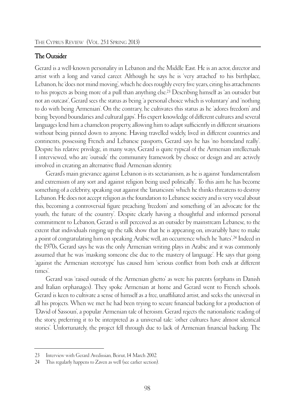#### The Outsider

Gerard is a well-known personality in Lebanon and the Middle East. He is an actor, director and artist with a long and varied career. Although he says he is 'very attached' to his birthplace, Lebanon, he 'does not mind moving', which he does roughly every five years, citing his attachments to his projects as being more of a pull than anything else.23 Describing himself as 'an outsider but not an outcast', Gerard sees the status as being 'a personal choice which is voluntary' and 'nothing to do with being Armenian'. On the contrary, he cultivates this status as he 'adores freedom' and being 'beyond boundaries and cultural gaps'. His expert knowledge of different cultures and several languages lend him a chameleon property, allowing him to adapt sufficiently in different situations without being pinned down to anyone. Having travelled widely, lived in different countries and continents, possessing French and Lebanese passports, Gerard says he has 'no homeland really'. Despite his relative privilege, in many ways, Gerard is quite typical of the Armenian intellectuals I interviewed, who are 'outside' the community framework by choice or design and are actively involved in creating an alternative fluid Armenian identity.

Gerard's main grievance against Lebanon is its sectarianism, as he is against 'fundamentalism and extremism of any sort and against religion being used politically'. To this aim he has become something of a celebrity, speaking out against the 'fanaticism' which he thinks threatens to destroy Lebanon. He does not accept religion as the foundation to Lebanese society and is very vocal about this, becoming a controversial figure preaching 'freedom' and something of 'an advocate for the youth, the future of the country'. Despite clearly having a thoughtful and informed personal commitment to Lebanon, Gerard is still perceived as an outsider by mainstream Lebanese, to the extent that individuals ringing up the talk show that he is appearing on, invariably have to make a point of congratulating him on speaking Arabic well, an occurrence which he 'hates'.24 Indeed in the 1970s, Gerard says he was the only Armenian writing plays in Arabic and it was commonly assumed that he was 'masking someone else due to the mastery of language'. He says that going 'against the Armenian stereotype' has caused him 'serious conflict from both ends at different times'.

Gerard was 'raised outside of the Armenian ghetto' as were his parents (orphans in Danish and Italian orphanages). They spoke Armenian at home and Gerard went to French schools. Gerard is keen to cultivate a sense of himself as a free, unaffiliated artist, and seeks the universal in all his projects. When we met he had been trying to secure financial backing for a production of 'David of Sassoun', a popular Armenian tale of heroism. Gerard rejects the nationalistic reading of the story, preferring it to be interpreted as a universal tale: 'other cultures have almost identical stories'. Unfortunately, the project fell through due to lack of Armenian financial backing. The

<sup>23</sup> Interview with Gerard Avedissian, Beirut, 14 March 2002.

<sup>24</sup> This regularly happens to Zaven as well (see earlier section).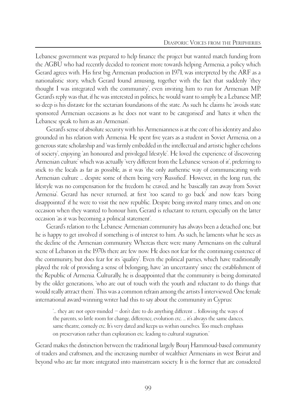Lebanese government was prepared to help finance the project but wanted match funding from the AGBU who had recently decided to reorient more towards helping Armenia, a policy which Gerard agrees with. His first big Armenian production in 1971, was interpreted by the ARF as a nationalistic story, which Gerard found amusing, together with the fact that suddenly 'they thought I was integrated with the community', even inviting him to run for Armenian MP. Gerard's reply was that, if he was interested in politics, he would want to simply be a Lebanese MP, so deep is his distaste for the sectarian foundations of the state. As such he claims he 'avoids state sponsored Armenian occasions as he does not want to be categorised' and 'hates it when the Lebanese speak to him as an Armenian'.

Gerard's sense of absolute security with his Armenianness is at the core of his identity and also grounded in his relation with Armenia. He spent five years as a student in Soviet Armenia, on a generous state scholarship and 'was firmly embedded in the intellectual and artistic higher echelons of society', enjoying 'an honoured and privileged lifestyle'. He loved the experience of 'discovering Armenian culture' which was actually 'very different from the Lebanese version of it', preferring to stick to the locals as far as possible, as it was 'the only authentic way of communicating with Armenian culture ... despite some of them being very Russified'. However, in the long run, the lifestyle was no compensation for the freedom he craved, and he 'basically ran away from Soviet Armenia'. Gerard has never returned, at first 'too scared to go back' and now fears 'being disappointed' if he were to visit the new republic. Despite being invited many times, and on one occasion when they wanted to honour him, Gerard is reluctant to return, especially on the latter occasion 'as it was becoming a political statement'.

Gerard's relation to the Lebanese Armenian community has always been a detached one, but he is happy to get involved if something is of interest to him. As such, he laments what he sees as the decline of the Armenian community. Whereas there were many Armenians on the cultural scene of Lebanon in the 1970s there are few now. He does not fear for the continuing existence of the community, but does fear for its 'quality'. Even the political parties, which have traditionally played the role of providing a sense of belonging, have 'an uncertainty' since the establishment of the Republic of Armenia. Culturally, he is disappointed that the community is being dominated by the older generations, 'who are out of touch with the youth and reluctant to do things that would really attract them'. This was a common refrain among the artists I interviewed. One female international award-winning writer had this to say about the community in Cyprus:

'... they are not open-minded – don't dare to do anything different ... following the ways of the parents, so little room for change, difference, evolution etc. ... it's always the same dances, same theatre, comedy etc. It's very dated and keeps us within ourselves. Too much emphasis on preservation rather than exploration etc. leading to cultural stagnation.'

Gerard makes the distinction between the traditional largely Bourj Hammoud-based community of traders and craftsmen, and the increasing number of wealthier Armenians in west Beirut and beyond who are far more integrated into mainstream society. It is the former that are considered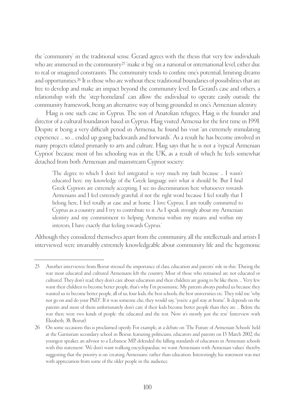the 'community' in the traditional sense. Gerard agrees with the thesis that very few individuals who are immersed in the community<sup>25</sup> 'make it big' on a national or international level, either due to real or imagined constraints. The community tends to confine one's potential, limiting dreams and opportunities.<sup>26</sup> It is those who are without these traditional boundaries of possibilities that are free to develop and make an impact beyond the community level. In Gerard's case and others, a relationship with the 'step-homeland' can allow the individual to operate easily outside the community framework, being an alternative way of being grounded in one's Armenian identity.

Haig is one such case in Cyprus. The son of Anatolian refugees, Haig is the founder and director of a cultural foundation based in Cyprus. Haig visited Armenia for the first time in 1991. Despite it being a very difficult period in Armenia, he found his visit 'an extremely stimulating experience ... so ... ended up going backwards and forwards'. As a result he has become involved in many projects related primarily to arts and culture. Haig says that he is not a 'typical Armenian Cypriot' because most of his schooling was in the UK, as a result of which he feels somewhat detached from both Armenian and mainstream Cypriot society:

'The degree to which I don't feel integrated is very much my fault because ... I wasn't educated here: my knowledge of the Greek language isn't what it should be. But I find Greek Cypriots are extremely accepting, I see no discrimination here whatsoever towards Armenians and I feel extremely grateful, if not the right word because I feel totally that I belong here, I feel totally at ease and at home. I love Cyprus; I am totally committed to Cyprus as a country and I try to contribute to it. As I speak strongly about my Armenian identity and my commitment to helping Armenia within my means and within my interests, I have exactly that feeling towards Cyprus.'

Although they considered themselves apart from the community, all the intellectuals and artists I interviewed were invariably extremely knowledgeable about community life and the hegemonic

<sup>25</sup> Another interviewee from Beirut stressed the importance of class, education and parents' role in this: 'During the war most educated and cultured Armenians left the country. Most of those who remained are not educated or cultured. They don't read, they don't care about education and their children are going to be like them. ... Very few want their children to become better people, that's why I'm pessimistic. My parents always pushed us because they wanted us to become better people, all of us, four kids, the best schools, the best universities etc. They told me "why not go on and do your PhD". If it was someone else, they would say, "you're a girl stay at home". It depends on the parents and most of them unfortunately don't care if their kids become better people than they are ... Before the war there were two kinds of people: the educated and the rest. Now it's mostly just the rest' (interview with Elizabeth, 38, Beirut).

<sup>26</sup> On some occasions this is proclaimed openly. For example, at a debate on 'The Future of Armenian Schools' held at the Garmirian secondary school in Beirut, featuring politicians, educators and parents on 15 March 2002, the youngest speaker, an advisor to a Lebanese MP, defended the falling standards of education in Armenian schools with this statement: 'We don't want walking encyclopaedias; we want Armenians with Armenian values' thereby suggesting that the priority is on 'creating Armenians' rather than education. Interestingly, his statement was met with appreciation from some of the older people in the audience.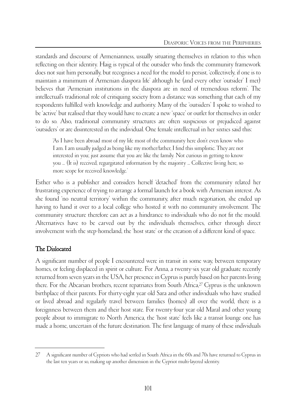standards and discourse of Armenianness, usually situating themselves in relation to this when reflecting on their identity. Haig is typical of the outsider who finds the community framework does not suit him personally, but recognises a need for the model to persist, 'collectively, if one is to maintain a minimum of Armenian diaspora life' although he (and every other 'outsider' I met) believes that 'Armenian institutions in the diaspora are in need of tremendous reform'. The intellectual's traditional role of critiquing society from a distance was something that each of my respondents fulfilled with knowledge and authority. Many of the 'outsiders' I spoke to wished to be 'active' but realised that they would have to create a new 'space' or outlet for themselves in order to do so. Also, traditional community structures are often suspicious or prejudiced against 'outsiders' or are disinterested in the individual. One female intellectual in her sixties said this:

'As I have been abroad most of my life most of the community here don't even know who I am. I am usually judged as being like my mother/father, I find this simplistic. They are not interested in you; just assume that you are like the family. Not curious in getting to know you ... (It is) received, regurgitated information by the majority ... Collective living here, so more scope for received knowledge.'

Esther who is a publisher and considers herself 'detached' from the community related her frustrating experience of trying to arrange a formal launch for a book with Armenian interest. As she found 'no neutral territory' within the community, after much negotiation, she ended up having to hand it over to a local college who hosted it with no community involvement. The community structure therefore can act as a hindrance to individuals who do not fit the mould. Alternatives have to be carved out by the individuals themselves, either through direct involvement with the step-homeland, the 'host state' or the creation of a different kind of space.

# The Dislocated

A significant number of people I encountered were in transit in some way, between temporary homes, or feeling displaced in spirit or culture. For Anna, a twenty-six year old graduate recently returned from seven years in the USA, her presence in Cyprus is purely based on her parents living there. For the Abcarian brothers, recent repatriates from South Africa,27 Cyprus is the unknown birthplace of their parents. For thirty-eight year old Sara and other individuals who have studied or lived abroad and regularly travel between families (homes) all over the world, there is a foreignness between them and their host state. For twenty-four year old Maral and other young people about to immigrate to North America, the 'host state' feels like a transit lounge one has made a home, uncertain of the future destination. The first language of many of these individuals

<sup>27</sup> A significant number of Cypriots who had settled in South Africa in the 60s and 70s have returned to Cyprus in the last ten years or so, making up another dimension in the Cypriot multi-layered identity.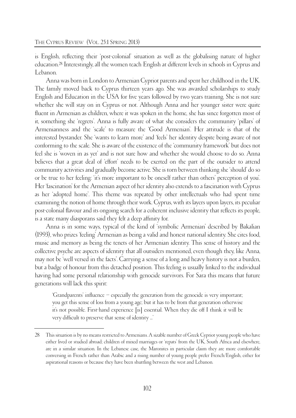is English, reflecting their 'post-colonial' situation as well as the globalising nature of higher education.28 Interestingly, all the women teach English at different levels in schools in Cyprus and Lebanon.

Anna was born in London to Armenian Cypriot parents and spent her childhood in the UK. The family moved back to Cyprus thirteen years ago. She was awarded scholarships to study English and Education in the USA for five years followed by two years training. She is not sure whether she will stay on in Cyprus or not. Although Anna and her younger sister were quite fluent in Armenian as children, where it was spoken in the home, she has since forgotten most of it, something she 'regrets'. Anna is fully aware of what she considers the community 'pillars' of Armenianness and the 'scale' to measure the 'Good Armenian'. Her attitude is that of the interested bystander. She 'wants to learn more' and 'feels' her identity despite being aware of not conforming to the scale. She is aware of the existence of the 'community framework' but does not feel she is 'woven in as yet' and is not sure how and whether she would choose to do so. Anna believes that a great deal of 'effort' needs to be exerted on the part of the outsider to attend community activities and gradually become active. She is torn between thinking she 'should' do so or be true to her feeling: 'it's more important to be oneself rather than others' perception of you'. Her 'fascination' for the Armenian aspect of her identity also extends to a fascination with Cyprus as her 'adopted home'. This theme was repeated by other intellectuals who had spent time examining the notion of home through their work. Cyprus, with its layers upon layers, its peculiar post-colonial flavour and its ongoing search for a coherent inclusive identity that reflects its people, is a state many diasporans said they felt a deep affinity for.

Anna is in some ways, typical of the kind of 'symbolic Armenian' described by Bakalian (1993), who prizes 'feeling' Armenian as being a valid and honest national identity. She cites food, music and memory as being the tenets of her Armenian identity. This sense of history and the collective psyche are aspects of identity that all outsiders mentioned, even though they, like Anna, may not be 'well versed in the facts'. Carrying a sense of a long and heavy history is not a burden, but a badge of honour from this detached position. This feeling is usually linked to the individual having had some personal relationship with genocide survivors. For Sara this means that future generations will lack this spirit:

'Grandparents' influence – especially the generation from the genocide is very important; you get this sense of loss from a young age; but it has to be from that generation otherwise it's not possible. First-hand experience [is] essential. When they die off I think it will be very difficult to preserve that sense of identity ...'

<sup>28</sup> This situation is by no means restricted to Armenians. A sizable number of Greek Cypriot young people who have either lived or studied abroad; children of mixed marriages or 'repats' from the UK, South Africa and elsewhere, are in a similar situation. In the Lebanese case, the Maronites in particular claim they are more comfortable conversing in French rather than Arabic and a rising number of young people prefer French/English, either for aspirational reasons or because they have been shuttling between the west and Lebanon.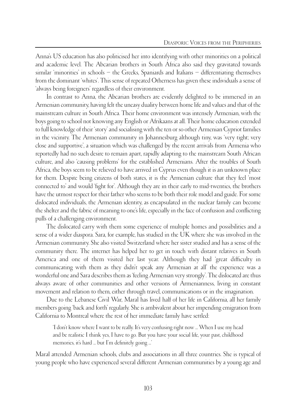Anna's US education has also politicised her into identifying with other minorities on a political and academic level. The Abcarian brothers in South Africa also said they gravitated towards similar 'minorities' in schools – the Greeks, Spaniards and Italians – differentiating themselves from the dominant 'whites'. This sense of repeated Otherness has given these individuals a sense of 'always being foreigners' regardless of their environment.

In contrast to Anna, the Abcarian brothers are evidently delighted to be immersed in an Armenian community, having felt the uneasy duality between home life and values and that of the mainstream culture in South Africa. Their home environment was intensely Armenian, with the boys going to school not knowing any English or Afrikaans at all. Their home education extended to full knowledge of their 'story' and socialising with the ten or so other Armenian Cypriot families in the vicinity. The Armenian community in Johannesburg although tiny, was 'very tight; very close and supportive', a situation which was challenged by the recent arrivals from Armenia who reportedly had no such desire to remain apart, rapidly adapting to the mainstream South African culture, and also 'causing problems' for the established Armenians. After the troubles of South Africa, the boys seem to be relieved to have arrived in Cyprus even though it is an unknown place for them. Despite being citizens of both states, it is the Armenian culture that they feel 'most connected to' and would 'fight for'. Although they are in their early to mid-twenties, the brothers have the utmost respect for their father who seems to be both their role model and guide. For some dislocated individuals, the Armenian identity, as encapsulated in the nuclear family can become the shelter and the fabric of meaning to one's life, especially in the face of confusion and conflicting pulls of a challenging environment.

The dislocated carry with them some experience of multiple homes and possibilities and a sense of a wider diaspora. Sara, for example, has studied in the UK where she was involved in the Armenian community. She also visited Switzerland where her sister studied and has a sense of the community there. The internet has helped her to get in touch with distant relatives in South America and one of them visited her last year. Although they had 'great difficulty in communicating with them as they didn't speak any Armenian at all' the experience was a wonderful one and Sara describes them as 'feeling Armenian very strongly'. The dislocated are thus always aware of other communities and other versions of Armenianness, living in constant movement and relation to them, either through travel, communications or in the imagination.

Due to the Lebanese Civil War, Maral has lived half of her life in California, all her family members going 'back and forth' regularly. She is ambivalent about her impending emigration from California to Montreal where the rest of her immediate family have settled:

'I don't know where I want to be really. It's very confusing right now ... When I use my head and be realistic I think yes, I have to go. But you have your social life, your past, childhood memories, it's hard ... but I'm definitely going ...'

Maral attended Armenian schools, clubs and associations in all three countries. She is typical of young people who have experienced several different Armenian communities by a young age and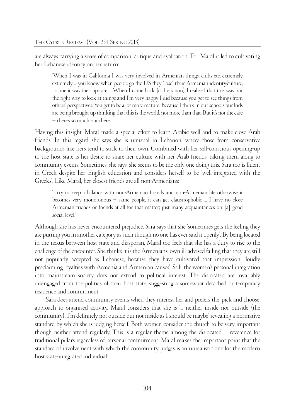are always carrying a sense of comparison, critique and evaluation. For Maral it led to cultivating her Lebanese identity on her return:

'When I was in California I was very involved in Armenian things, clubs etc, extremely extremely ... you know when people go the US they "lose" their Armenian identity/culture, for me it was the opposite ... When I came back (to Lebanon) I realised that this was not the right way to look at things and I'm very happy I did because you get to see things from others' perspectives. You get to be a lot more mature. Because I think in our schools our kids are being brought up thinking that this is the world, not more than that. But it's not the case – there's so much out there.'

Having this insight, Maral made a special effort to learn Arabic well and to make close Arab friends. In this regard she says she is unusual in Lebanon, where those from conservative backgrounds like hers tend to stick to their own. Combined with her self-conscious opening-up to the host state is her desire to share her culture with her Arab friends, taking them along to community events. Sometimes, she says, she seems to be the only one doing this. Sara too is fluent in Greek despite her English education and considers herself to be 'well-integrated with the Greeks'. Like Maral, her closest friends are all non-Armenians:

'I try to keep a balance with non-Armenian friends and non-Armenian life otherwise it becomes very monotonous – same people, it can get claustrophobic ... I have no close Armenian friends or friends at all for that matter; just many acquaintances on [a] good social level.'

Although she has never encountered prejudice, Sara says that she 'sometimes gets the feeling they are putting you in another category as such though no one has ever said it openly'. By being located in the nexus between host state and diasporan, Maral too feels that she has a duty to rise to the challenge of the encounter. She thinks it is the Armenians' own ill-advised failing that they are still not popularly accepted as Lebanese, because they have cultivated that impression, 'loudly proclaiming loyalties with Armenia and Armenian causes'. Still, the women's personal integration into mainstream society does not extend to political interest. The dislocated are invariably disengaged from the politics of their host state, suggesting a somewhat detached or temporary residence and commitment.

Sara does attend community events when they interest her and prefers the 'pick and choose' approach to organised activity. Maral considers that she is '... neither inside nor outside (the community). I'm definitely not outside but not inside as I should be maybe' revealing a normative standard by which she is judging herself. Both women consider the church to be very important though neither attend regularly. This is a regular theme among the dislocated – reverence for traditional pillars regardless of personal commitment. Maral makes the important point that the standard of involvement with which the community judges is an unrealistic one for the modern host state-integrated individual: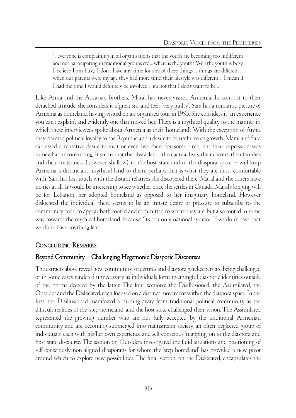'... everyone is complaining in all organisations that the youth are becoming too indifferent and not participating in traditional groups etc ... where is the youth? Well the youth is busy. I believe I am busy, I don't have any time for any of these things ... things are different ... when our parents were my age they had more time, their lifestyle was different ... I mean if I had the time I would definitely be involved ... it's not that I don't want to be ...'

Like Anna and the Abcarian brothers, Maral has never visited Armenia. In contrast to their detached attitude, she considers it a 'great sin' and feels 'very guilty'. Sara has a romantic picture of Armenia as homeland, having visited on an organised tour in 1993. She considers it 'an experience you can't explain', and evidently one that moved her. There is a mythical quality to the manner in which these interviewees spoke about Armenia as their 'homeland'. With the exception of Anna, they claimed political loyalty to the Republic and a desire to be useful to its growth. Maral and Sara expressed a tentative desire to visit or even live there for some time, but their expression was somewhat unconvincing. It seems that the 'obstacles' – their actual lives, their careers, their families and their rootedness (however shallow) in the host state and in the diaspora space – will keep Armenia a distant and mythical land to them; perhaps that is what they are most comfortable with. Sara has lost touch with the distant relatives she discovered there; Maral and the others have no ties at all. It would be interesting to see whether once she settles in Canada, Maral's longing will be for Lebanon, her adopted homeland as opposed to her imaginary homeland. However dislocated the individual, there seems to be an innate desire or pressure to subscribe to the community code, to appear both rooted and committed to where they are, but also routed in some way towards the mythical homeland, because: 'It's our only national symbol. If we don't have that we don't have anything left.'

# CONCLUDING REMARKS

# Beyond Community – Challenging Hegemonic Diasporic Discourses

The extracts above reveal how community structures and diaspora gatekeepers are being challenged or in some cases rendered unnecessary as individuals form meaningful diasporic identities outside of the norms decreed by the latter. The four sections: the Disillusioned, the Assimilated, the Outsider and the Dislocated, each focused on a distinct movement within the diaspora space. In the first, the Disillusioned manifested a turning away from traditional political community as the difficult realities of the 'step-homeland' and the host state challenged their vision. The Assimilated represented the growing number who are not fully accepted by the traditional Armenian community and are becoming submerged into mainstream society, an often neglected group of individuals, each with his/her own experience and self-conscious 'mapping' on to the diaspora and host state discourse. The section on Outsiders investigated the fluid situations and positioning of self-consciously non-aligned diasporans for whom the 'step-homeland' has provided a new pivot around which to explore new possibilities. The final section, on the Dislocated, encapsulates the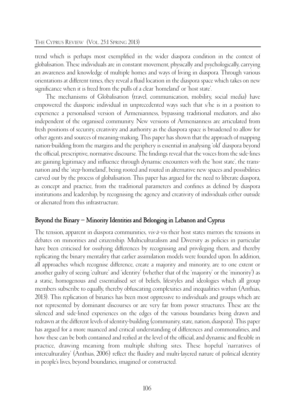trend which is perhaps most exemplified in the wider diaspora condition in the context of globalisation. These individuals are in constant movement, physically and psychologically, carrying an awareness and knowledge of multiple homes and ways of living in diaspora. Through various orientations at different times, they reveal a fluid location in the diaspora space which takes on new significance when it is freed from the pulls of a clear 'homeland' or 'host state'.

The mechanisms of Globalisation (travel, communication, mobility, social media) have empowered the diasporic individual in unprecedented ways such that s/he is in a position to experience a personalised version of Armenianness, bypassing traditional mediators, and also independent of the organised community. New versions of Armenianness are articulated from fresh positions of security, creativity and authority as the diaspora space is broadened to allow for other agents and sources of meaning-making. This paper has shown that the approach of mapping nation-building from the margins and the periphery is essential in analysing 'old' diaspora beyond the official, prescriptive, normative discourse. The findings reveal that the voices from the side-lines are gaining legitimacy and influence through dynamic encounters with the 'host state', the transnation and the 'step-homeland', being rooted and routed in alternative new spaces and possibilities carved out by the process of globalisation. This paper has argued for the need to liberate diaspora, as concept and practice, from the traditional parameters and confines as defined by diaspora institutions and leadership, by recognising the agency and creativity of individuals either outside or alienated from this infrastructure.

#### Beyond the Binary – Minority Identities and Belonging in Lebanon and Cyprus

The tension, apparent in diaspora communities, vis-à-vis their host states mirrors the tensions in debates on minorities and citizenship. Multiculturalism and Diversity as policies in particular have been criticised for ossifying differences by recognising and privileging them, and thereby replicating the binary mentality that earlier assimilation models were founded upon. In addition, all approaches which recognise difference, create a majority and minority, are to one extent or another guilty of seeing 'culture' and 'identity' (whether that of the 'majority' or the 'minority') as a static, homogenous and essentialised set of beliefs, lifestyles and ideologies which all group members subscribe to equally, thereby obfuscating complexities and inequalities within (Anthias, 2013). This replication of binaries has been most oppressive to individuals and groups which are not represented by dominant discourses or are very far from power structures. These are the silenced and side-lined experiences on the edges of the various boundaries being drawn and redrawn at the different levels of identity-building (community, state, nation, diaspora). This paper has argued for a more nuanced and critical understanding of differences and commonalities, and how these can be both contained and reified at the level of the official, and dynamic and flexible in practice, drawing meaning from multiple shifting sites. These hopeful 'narratives of interculturality' (Anthias, 2006) reflect the fluidity and multi-layered nature of political identity in people's lives, beyond boundaries, imagined or constructed.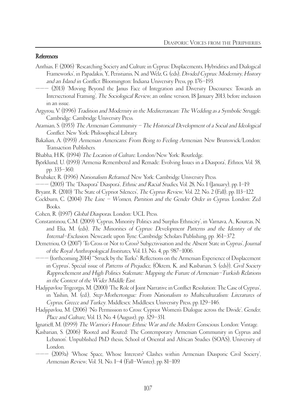#### References

- Anthias, F. (2006) 'Researching Society and Culture in Cyprus: Displacements, Hybridities and Dialogical Frameworks', in Papadakis, Y., Peristianis, N. and Welz, G. (eds), Divided Cyprus: Modernity, History and an Island in Conflict. Bloomington: Indiana University Press, pp. 176–193.
- ——— (2013) 'Moving Beyond the Janus Face of Integration and Diversity Discourses: Towards an Intersectional Framing', The Sociological Review, an online version, 18 January 2013, before inclusion in an issue.
- Argyrou, V. (1996) Tradition and Modernity in the Mediterranean: The Wedding as a Symbolic Struggle. Cambridge: Cambridge University Press.
- Atamian, S. (1955) The Armenian Community The Historical Development of a Social and Ideological Conflict. New York: Philosophical Library.
- Bakalian, A. (1993) Armenian Americans: From Being to Feeling Armenian. New Brunswick/London: Transaction Publishers.
- Bhabha, H.K. (1994) The Location of Culture. London/New York: Routledge.
- Björklund, U. (1993) 'Armenia Remembered and Remade: Evolving Issues in a Diaspora', Ethnos, Vol. 58, pp. 335–360.
- Brubaker, R. (1996) Nationalism Reframed. New York: Cambridge University Press.
- ——— (2005) 'The "Diaspora" Diaspora', Ethnic and Racial Studies, Vol. 28, No. 1 (January), pp. 1–19.
- Bryant, R. (2010) 'The State of Cypriot Silences', The Cyprus Review, Vol. 22, No. 2 (Fall), pp. 113–122.
- Cockburn, C. (2004) The Line Women, Partition and the Gender Order in Cyprus. London: Zed Books.
- Cohen, R. (1997) Global Diasporas. London: UCL Press.
- Constantinou, C.M. (2009) 'Cyprus, Minority Politics and Surplus Ethnicity', in Varnava, A., Koureas, N. and Elia, M. (eds), The Minorities of Cyprus: Development Patterns and the Identity of the Internal–Exclusion. Newcastle upon Tyne: Cambridge Scholars Publishing, pp. 361–372.
- Demetriou, O. (2007) 'To Cross or Not to Cross? Subjectivisation and the Absent State in Cyprus', Journal of the Royal Anthropological Institutes, Vol. 13, No. 4, pp. 987–1006.
- ——— (forthcoming 2014) '"Struck by the Turks": Reflections on the Armenian Experience of Displacement in Cyprus', Special issue of Patterns of Prejudice, (Öktem, K. and Kasbarian, S. (eds)), Civil Society Rapprochement and High Politics Stalemate: Mapping the Future of Armenian–Turkish Relations in the Context of the Wider Middle East.
- Hadjipavlou-Trigeorgis, M. (2000) 'The Role of Joint Narrative in Conflict Resolution: The Case of Cyprus', in Yashin, M. (ed.), Step-Mothertongue: From Nationalism to Multiculturalism: Literatures of Cyprus, Greece and Turkey. Middlesex: Middlesex University Press, pp. 129–146.
- Hadjipavlou, M. (2006) 'No Permission to Cross: Cypriot Women's Dialogue across the Divide', Gender, Place and Culture, Vol. 13, No. 4 (August), pp. 329–351.
- Ignatieff, M. (1999) The Warrior's Honour: Ethnic War and the Modern Conscious. London: Vintage.
- Kasbarian, S. (2006) 'Rooted and Routed: The Contemporary Armenian Community in Cyprus and Lebanon'. Unpublished PhD thesis, School of Oriental and African Studies (SOAS), University of London.
	- ——— (2009a) 'Whose Space, Whose Interests? Clashes within Armenian Diasporic Civil Society', Armenian Review, Vol. 51, No. 1–4 (Fall–Winter), pp. 81–109.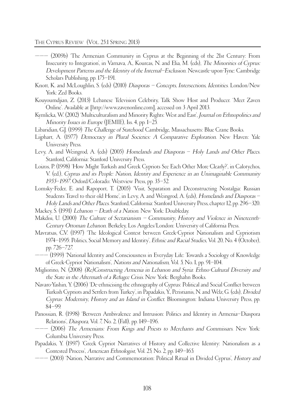THE CYPRUS REVIEW (VOL. 25:1 SPRING 2013)

- ——— (2009b) 'The Armenian Community in Cyprus at the Beginning of the 21st Century: From Insecurity to Integration', in Varnava, A., Koureas, N. and Elia, M. (eds), The Minorities of Cyprus: Development Patterns and the Identity of the Internal–Exclusion. Newcastle-upon-Tyne: Cambridge Scholars Publishing, pp. 175–191.
- Knott, K. and McLoughlin, S. (eds) (2010) Diasporas Concepts, Intersections, Identities. London/New York: Zed Books.
- Kouyoumdjian, Z. (2013) Lebanese Television Celebrity, Talk Show Host and Producer. 'Meet Zaven Online'. Available at [http://www.zavenonline.com], accessed on 3 April 2013.
- Kymlicka, W. (2002) 'Multiculturalism and Minority Rights: West and East', Journal on Ethnopolitics and Minority Issues in Europe (JEMIE), Iss. 4, pp. 1–25.
- Libaridian, G.J. (1999) The Challenge of Statehood. Cambridge, Massachusetts: Blue Crane Books.
- Lijphart, A. (1977) Democracy in Plural Societies: A Comparative Exploration. New Haven: Yale University Press.
- Levy, A. and Weingrod, A. (eds) (2005) Homelands and Diasporas Holy Lands and Other Places. Stanford, California: Stanford University Press.
- Loizos, P. (1998) 'How Might Turkish and Greek Cypriots See Each Other More Clearly?', in Calotychos, V. (ed.), Cyprus and its People: Nation, Identity and Experience in an Unimaginable Community <sup>1955</sup>–1997. Oxford/Colorado: Westview Press, pp. 35–52.
- Lomsky-Feder, E. and Rapoport, T. (2005) 'Visit, Separation and Deconstructing Nostalgia: Russian Students Travel to their old Home', in Levy, A. and Weingrod, A. (eds), Homelands and Diasporas – Holy Lands and Other Places. Stanford, California: Stanford University Press, chapter 12, pp. 296–320.
- Mackey, S. (1991) Lebanon Death of a Nation. New York: Doubleday.
- Makdisi, U. (2000) The Culture of Sectarianism Community, History and Violence in Nineteenth-Century Ottoman Lebanon. Berkeley, Los Angeles/London: University of California Press.
- Mavratsas, C.V. (1997) 'The Ideological Contest between Greek-Cypriot Nationalism and Cypriotism 1974–1995: Politics, Social Memory and Identity', Ethnic and Racial Studies, Vol. 20, No. 4 (October), pp. 726–727.
- ——— (1999) 'National Identity and Consciousness in Everyday Life: Towards a Sociology of Knowledge of Greek-Cypriot Nationalism', Nations and Nationalism, Vol. 5, No. 1, pp. 91–104.
- Migliorino, N. (2008) (Re)Constructing Armenia in Lebanon and Syria: Ethno-Cultural Diversity and the State in the Aftermath of a Refugee Crisis. New York: Berghahn Books.
- Navaro-Yashin, Y. (2006) 'De-ethnicising the ethnography of Cyprus: Political and Social Conflict between Turkish Cypriots and Settlers from Turkey', in Papadakis, Y., Peristianis, N. and Welz, G. (eds), Divided Cyprus: Modernity, History and an Island in Conflict. Bloomington: Indiana University Press, pp. 84–99.
- Panossian, R. (1998) 'Between Ambivalence and Intrusion: Politics and Identity in Armenia–Diaspora Relations', Diaspora, Vol. 7, No. 2, (Fall), pp. 149–196.
- ——— (2006) The Armenians: From Kings and Priests to Merchants and Commissars. New York: Columbia University Press.
- Papadakis, Y. (1997) 'Greek Cypriot Narratives of History and Collective Identity: Nationalism as a Contested Process', American Ethnologist, Vol. 25, No. 2, pp. 149–165.
- (2003) 'Nation, Narrative and Commemoration: Political Ritual in Divided Cyprus', *History and*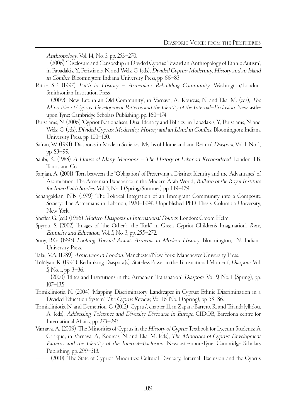Anthropology, Vol. 14, No. 3, pp. 253–270.

- ——— (2006) 'Disclosure and Censorship in Divided Cyprus: Toward an Anthropology of Ethnic Autism', in Papadakis, Y., Peristianis, N. and Welz, G. (eds), Divided Cyprus: Modernity, History and an Island in Conflict. Bloomington: Indiana University Press, pp. 66–83.
- Pattie, S.P. (1997) Faith in History Armenians Rebuilding Community. Washington/London: Smithsonian Institution Press.
- ——— (2009) 'New Life in an Old Community', in Varnava, A., Koureas, N. and Elia, M. (eds), The Minorities of Cyprus: Development Patterns and the Identity of the Internal–Exclusion. Newcastleupon-Tyne: Cambridge Scholars Publishing, pp. 160–174.
- Peristianis, N. (2006) 'Cypriot Nationalism, Dual Identity and Politics', in Papadakis, Y., Peristianis, N. and Welz, G. (eds), Divided Cyprus: Modernity, History and an Island in Conflict. Bloomington: Indiana University Press, pp. 100–120.
- Safran, W. (1991) 'Diasporas in Modern Societies: Myths of Homeland and Return', Diaspora, Vol. 1, No. 1, pp. 83–99.
- Salibi, K. (1988) A House of Many Mansions The History of Lebanon Reconsidered. London: I.B. Tauris and Co.
- Sanjian, A. (2001) 'Torn between the "Obligation" of Preserving a Distinct Identity and the "Advantages" of Assimilation: The Armenian Experience in the Modern Arab World', Bulletin of the Royal Institute for Inter-Faith Studies, Vol. 3, No. 1 (Spring/Summer) pp. 149–179.
- Schahgaldian, N.B. (1979) 'The Political Integration of an Immigrant Community into a Composite Society: The Armenians in Lebanon, 1920–1974'. Unpublished PhD Thesis, Columbia University, New York.
- Sheffer, G. (ed.) (1986) Modern Diasporas in International Politics. London: Croom Helm.
- Spyrou, S. (2002) 'Images of "the Other": "the Turk" in Greek Cypriot Children's Imagination', Race, Ethnicity and Education, Vol. 5, No. 3, pp. 255–272.
- Suny, R.G. (1993) Looking Toward Ararat: Armenia in Modern History. Bloomington, IN: Indiana University Press.
- Talai, V.A. (1989) Armenians in London. Manchester/New York: Manchester University Press.
- Tölölyan, K. (1996) 'Rethinking Diaspora(s): Stateless Power in the Transnational Moment', Diaspora, Vol. 5, No. 1, pp. 3–36.
- ——— (2000) 'Elites and Institutions in the Armenian Transnation', Diaspora, Vol. 9, No. 1 (Spring), pp. 107–135.
- Trimikliniotis, N. (2004) 'Mapping Discriminatory Landscapes in Cyprus: Ethnic Discrimination in a Divided Education System', The Cyprus Review, Vol. 16, No. 1 (Spring), pp. 53–86.
- Trimikliniotis, N. and Demetriou, C. (2012) 'Cyprus', chapter 11, in Zapata-Barrero, R. and Triandafyllidou, A. (eds), Addressing Tolerance and Diversity Discourse in Europe. CIDOB, Barcelona centre for International Affairs, pp. 275–293.
- Varnava, A. (2009) 'The Minorities of Cyprus in the History of Cyprus Textbook for Lyceum Students: A Critique', in Varnava, A., Koureas, N. and Elia, M. (eds), The Minorities of Cyprus: Development Patterns and the Identity of the Internal–Exclusion. Newcastle-upon-Tyne: Cambridge Scholars Publishing, pp. 299–313.
- ——— (2010) 'The State of Cypriot Minorities: Cultural Diversity, Internal–Exclusion and the Cyprus